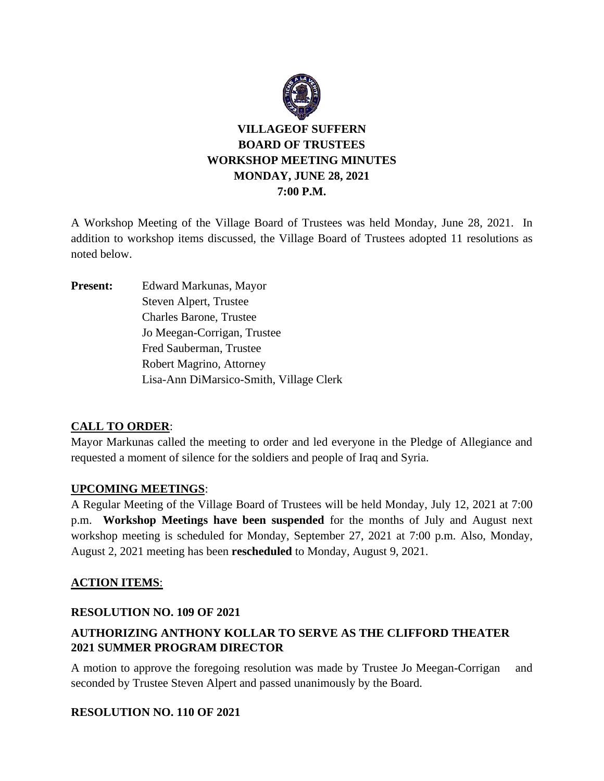

# **VILLAGEOF SUFFERN BOARD OF TRUSTEES WORKSHOP MEETING MINUTES MONDAY, JUNE 28, 2021 7:00 P.M.**

A Workshop Meeting of the Village Board of Trustees was held Monday, June 28, 2021. In addition to workshop items discussed, the Village Board of Trustees adopted 11 resolutions as noted below.

**Present:** Edward Markunas, Mayor Steven Alpert, Trustee Charles Barone, Trustee Jo Meegan-Corrigan, Trustee Fred Sauberman, Trustee Robert Magrino, Attorney Lisa-Ann DiMarsico-Smith, Village Clerk

## **CALL TO ORDER**:

Mayor Markunas called the meeting to order and led everyone in the Pledge of Allegiance and requested a moment of silence for the soldiers and people of Iraq and Syria.

#### **UPCOMING MEETINGS**:

A Regular Meeting of the Village Board of Trustees will be held Monday, July 12, 2021 at 7:00 p.m. **Workshop Meetings have been suspended** for the months of July and August next workshop meeting is scheduled for Monday, September 27, 2021 at 7:00 p.m. Also, Monday, August 2, 2021 meeting has been **rescheduled** to Monday, August 9, 2021.

## **ACTION ITEMS**:

#### **RESOLUTION NO. 109 OF 2021**

# **AUTHORIZING ANTHONY KOLLAR TO SERVE AS THE CLIFFORD THEATER 2021 SUMMER PROGRAM DIRECTOR**

A motion to approve the foregoing resolution was made by Trustee Jo Meegan-Corrigan and seconded by Trustee Steven Alpert and passed unanimously by the Board.

#### **RESOLUTION NO. 110 OF 2021**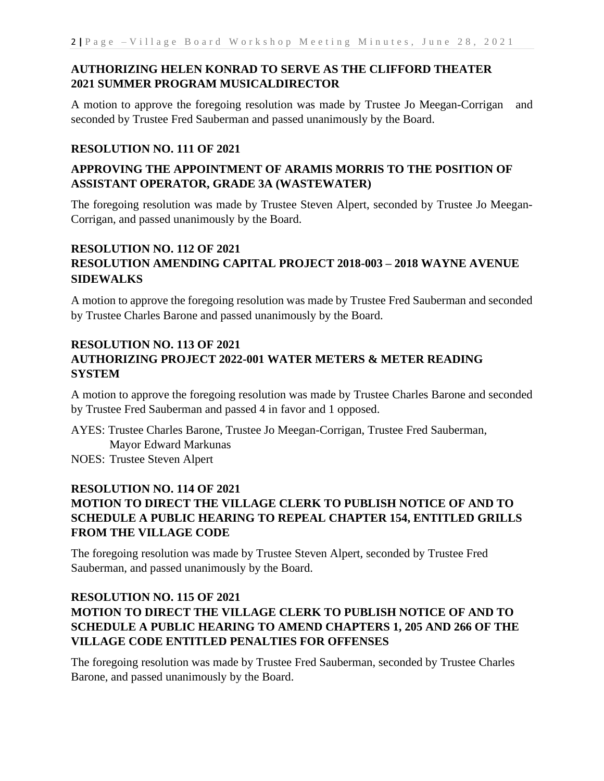## **AUTHORIZING HELEN KONRAD TO SERVE AS THE CLIFFORD THEATER 2021 SUMMER PROGRAM MUSICALDIRECTOR**

A motion to approve the foregoing resolution was made by Trustee Jo Meegan-Corrigan and seconded by Trustee Fred Sauberman and passed unanimously by the Board.

#### **RESOLUTION NO. 111 OF 2021**

### **APPROVING THE APPOINTMENT OF ARAMIS MORRIS TO THE POSITION OF ASSISTANT OPERATOR, GRADE 3A (WASTEWATER)**

The foregoing resolution was made by Trustee Steven Alpert, seconded by Trustee Jo Meegan-Corrigan, and passed unanimously by the Board.

## **RESOLUTION NO. 112 OF 2021 RESOLUTION AMENDING CAPITAL PROJECT 2018-003 – 2018 WAYNE AVENUE SIDEWALKS**

A motion to approve the foregoing resolution was made by Trustee Fred Sauberman and seconded by Trustee Charles Barone and passed unanimously by the Board.

## **RESOLUTION NO. 113 OF 2021 AUTHORIZING PROJECT 2022-001 WATER METERS & METER READING SYSTEM**

A motion to approve the foregoing resolution was made by Trustee Charles Barone and seconded by Trustee Fred Sauberman and passed 4 in favor and 1 opposed.

AYES: Trustee Charles Barone, Trustee Jo Meegan-Corrigan, Trustee Fred Sauberman, Mayor Edward Markunas NOES: Trustee Steven Alpert

#### **RESOLUTION NO. 114 OF 2021**

# **MOTION TO DIRECT THE VILLAGE CLERK TO PUBLISH NOTICE OF AND TO SCHEDULE A PUBLIC HEARING TO REPEAL CHAPTER 154, ENTITLED GRILLS FROM THE VILLAGE CODE**

The foregoing resolution was made by Trustee Steven Alpert, seconded by Trustee Fred Sauberman, and passed unanimously by the Board.

## **RESOLUTION NO. 115 OF 2021 MOTION TO DIRECT THE VILLAGE CLERK TO PUBLISH NOTICE OF AND TO SCHEDULE A PUBLIC HEARING TO AMEND CHAPTERS 1, 205 AND 266 OF THE VILLAGE CODE ENTITLED PENALTIES FOR OFFENSES**

The foregoing resolution was made by Trustee Fred Sauberman, seconded by Trustee Charles Barone, and passed unanimously by the Board.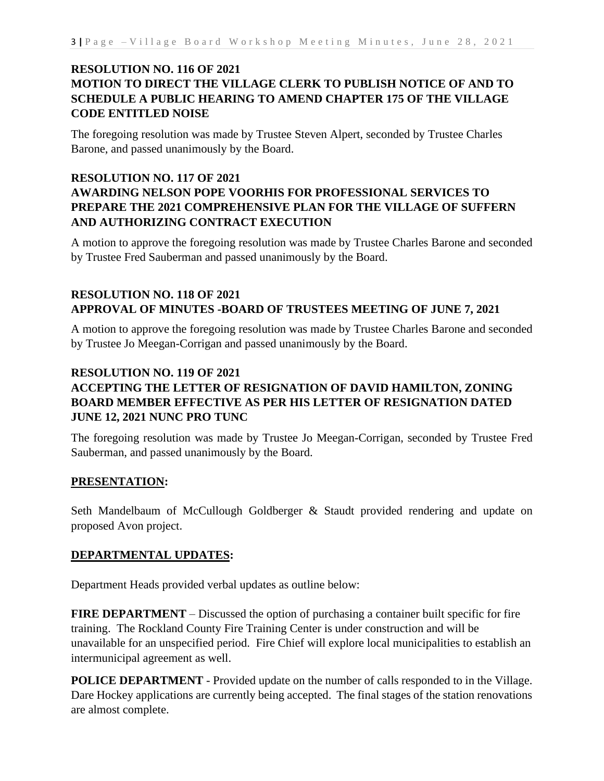### **RESOLUTION NO. 116 OF 2021 MOTION TO DIRECT THE VILLAGE CLERK TO PUBLISH NOTICE OF AND TO SCHEDULE A PUBLIC HEARING TO AMEND CHAPTER 175 OF THE VILLAGE CODE ENTITLED NOISE**

The foregoing resolution was made by Trustee Steven Alpert, seconded by Trustee Charles Barone, and passed unanimously by the Board.

### **RESOLUTION NO. 117 OF 2021 AWARDING NELSON POPE VOORHIS FOR PROFESSIONAL SERVICES TO PREPARE THE 2021 COMPREHENSIVE PLAN FOR THE VILLAGE OF SUFFERN AND AUTHORIZING CONTRACT EXECUTION**

A motion to approve the foregoing resolution was made by Trustee Charles Barone and seconded by Trustee Fred Sauberman and passed unanimously by the Board.

#### **RESOLUTION NO. 118 OF 2021 APPROVAL OF MINUTES -BOARD OF TRUSTEES MEETING OF JUNE 7, 2021**

A motion to approve the foregoing resolution was made by Trustee Charles Barone and seconded by Trustee Jo Meegan-Corrigan and passed unanimously by the Board.

### **RESOLUTION NO. 119 OF 2021 ACCEPTING THE LETTER OF RESIGNATION OF DAVID HAMILTON, ZONING BOARD MEMBER EFFECTIVE AS PER HIS LETTER OF RESIGNATION DATED JUNE 12, 2021 NUNC PRO TUNC**

The foregoing resolution was made by Trustee Jo Meegan-Corrigan, seconded by Trustee Fred Sauberman, and passed unanimously by the Board.

#### **PRESENTATION:**

Seth Mandelbaum of McCullough Goldberger & Staudt provided rendering and update on proposed Avon project.

#### **DEPARTMENTAL UPDATES:**

Department Heads provided verbal updates as outline below:

**FIRE DEPARTMENT** – Discussed the option of purchasing a container built specific for fire training. The Rockland County Fire Training Center is under construction and will be unavailable for an unspecified period. Fire Chief will explore local municipalities to establish an intermunicipal agreement as well.

**POLICE DEPARTMENT** - Provided update on the number of calls responded to in the Village. Dare Hockey applications are currently being accepted. The final stages of the station renovations are almost complete.